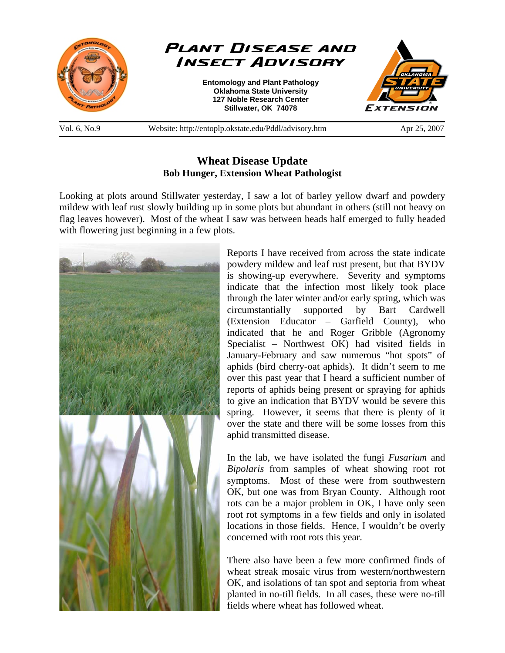

## **Wheat Disease Update Bob Hunger, Extension Wheat Pathologist**

Looking at plots around Stillwater yesterday, I saw a lot of barley yellow dwarf and powdery mildew with leaf rust slowly building up in some plots but abundant in others (still not heavy on flag leaves however). Most of the wheat I saw was between heads half emerged to fully headed with flowering just beginning in a few plots.



Reports I have received from across the state indicate powdery mildew and leaf rust present, but that BYDV is showing-up everywhere. Severity and symptoms indicate that the infection most likely took place through the later winter and/or early spring, which was circumstantially supported by Bart Cardwell (Extension Educator – Garfield County), who indicated that he and Roger Gribble (Agronomy Specialist – Northwest OK) had visited fields in January-February and saw numerous "hot spots" of aphids (bird cherry-oat aphids). It didn't seem to me over this past year that I heard a sufficient number of reports of aphids being present or spraying for aphids to give an indication that BYDV would be severe this spring. However, it seems that there is plenty of it over the state and there will be some losses from this aphid transmitted disease.

In the lab, we have isolated the fungi *Fusarium* and *Bipolaris* from samples of wheat showing root rot symptoms. Most of these were from southwestern OK, but one was from Bryan County. Although root rots can be a major problem in OK, I have only seen root rot symptoms in a few fields and only in isolated locations in those fields. Hence, I wouldn't be overly concerned with root rots this year.

There also have been a few more confirmed finds of wheat streak mosaic virus from western/northwestern OK, and isolations of tan spot and septoria from wheat planted in no-till fields. In all cases, these were no-till fields where wheat has followed wheat.